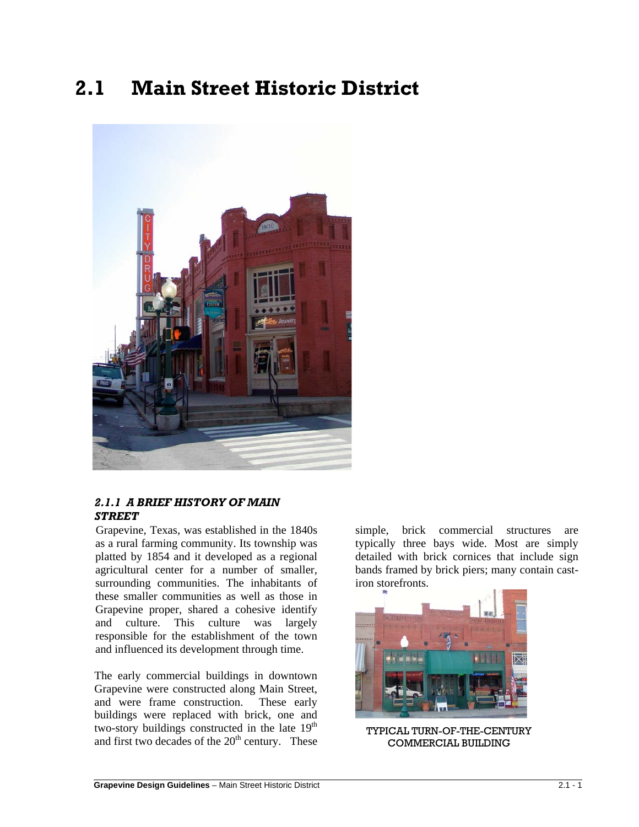# **2.1 Main Street Historic District**



## *2.1.1 A BRIEF HISTORY OF MAIN STREET*

Grapevine, Texas, was established in the 1840s as a rural farming community. Its township was platted by 1854 and it developed as a regional agricultural center for a number of smaller, surrounding communities. The inhabitants of these smaller communities as well as those in Grapevine proper, shared a cohesive identify and culture. This culture was largely responsible for the establishment of the town and influenced its development through time.

The early commercial buildings in downtown Grapevine were constructed along Main Street, and were frame construction. These early buildings were replaced with brick, one and two-story buildings constructed in the late  $19<sup>th</sup>$ and first two decades of the  $20<sup>th</sup>$  century. These

simple, brick commercial structures are typically three bays wide. Most are simply detailed with brick cornices that include sign bands framed by brick piers; many contain castiron storefronts.



TYPICAL TURN-OF-THE-CENTURY COMMERCIAL BUILDING

 $\overline{a}$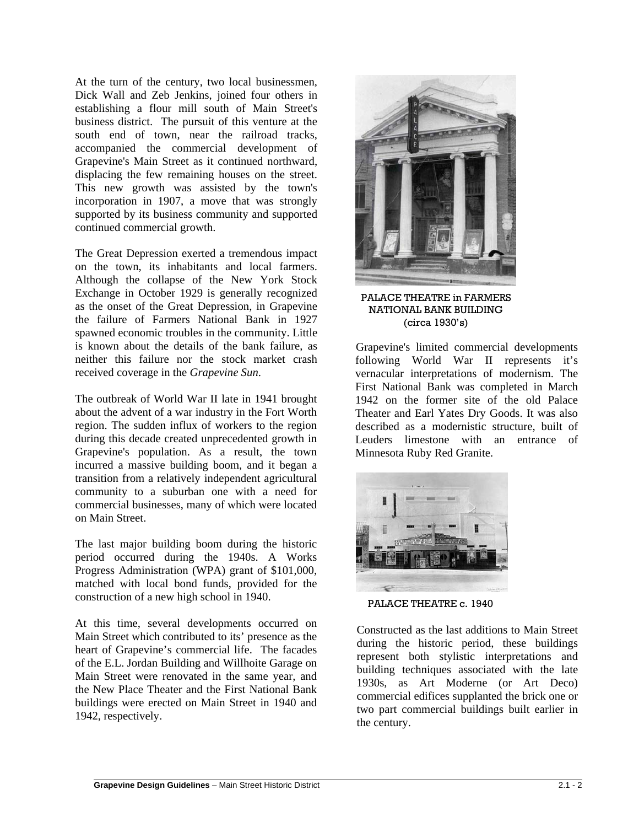At the turn of the century, two local businessmen, Dick Wall and Zeb Jenkins, joined four others in establishing a flour mill south of Main Street's business district. The pursuit of this venture at the south end of town, near the railroad tracks, accompanied the commercial development of Grapevine's Main Street as it continued northward, displacing the few remaining houses on the street. This new growth was assisted by the town's incorporation in 1907, a move that was strongly supported by its business community and supported continued commercial growth.

The Great Depression exerted a tremendous impact on the town, its inhabitants and local farmers. Although the collapse of the New York Stock Exchange in October 1929 is generally recognized as the onset of the Great Depression, in Grapevine the failure of Farmers National Bank in 1927 spawned economic troubles in the community. Little is known about the details of the bank failure, as neither this failure nor the stock market crash received coverage in the *Grapevine Sun*.

The outbreak of World War II late in 1941 brought about the advent of a war industry in the Fort Worth region. The sudden influx of workers to the region during this decade created unprecedented growth in Grapevine's population. As a result, the town incurred a massive building boom, and it began a transition from a relatively independent agricultural community to a suburban one with a need for commercial businesses, many of which were located on Main Street.

The last major building boom during the historic period occurred during the 1940s. A Works Progress Administration (WPA) grant of \$101,000, matched with local bond funds, provided for the construction of a new high school in 1940.

At this time, several developments occurred on Main Street which contributed to its' presence as the heart of Grapevine's commercial life. The facades of the E.L. Jordan Building and Willhoite Garage on Main Street were renovated in the same year, and the New Place Theater and the First National Bank buildings were erected on Main Street in 1940 and 1942, respectively.



PALACE THEATRE in FARMERS NATIONAL BANK BUILDING (circa 1930's)

Grapevine's limited commercial developments following World War II represents it's vernacular interpretations of modernism. The First National Bank was completed in March 1942 on the former site of the old Palace Theater and Earl Yates Dry Goods. It was also described as a modernistic structure, built of Leuders limestone with an entrance of Minnesota Ruby Red Granite.



PALACE THEATRE c. 1940

Constructed as the last additions to Main Street during the historic period, these buildings represent both stylistic interpretations and building techniques associated with the late 1930s, as Art Moderne (or Art Deco) commercial edifices supplanted the brick one or two part commercial buildings built earlier in the century.

 $\overline{a}$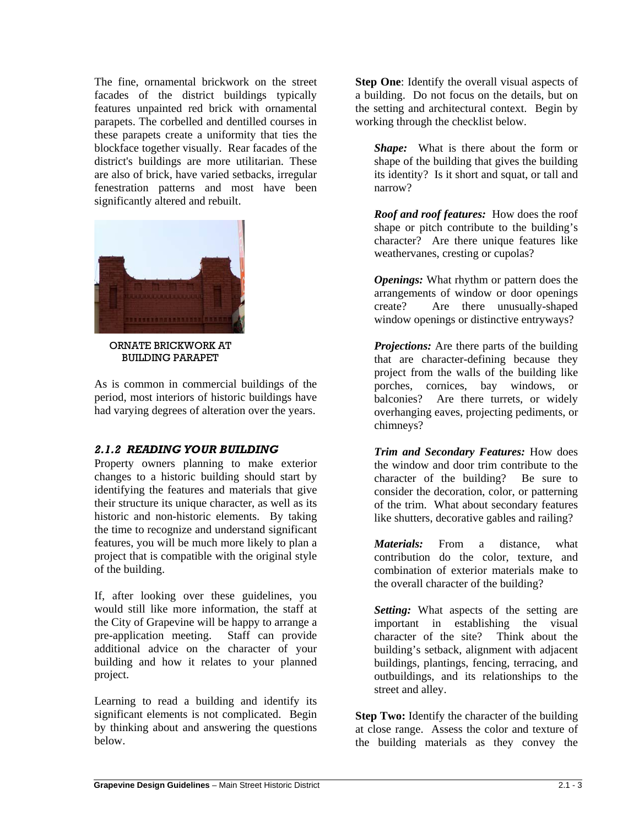The fine, ornamental brickwork on the street facades of the district buildings typically features unpainted red brick with ornamental parapets. The corbelled and dentilled courses in these parapets create a uniformity that ties the blockface together visually. Rear facades of the district's buildings are more utilitarian. These are also of brick, have varied setbacks, irregular fenestration patterns and most have been significantly altered and rebuilt.



ORNATE BRICKWORK AT BUILDING PARAPET

As is common in commercial buildings of the period, most interiors of historic buildings have had varying degrees of alteration over the years.

# *2.1.2 READING YOUR BUILDING*

Property owners planning to make exterior changes to a historic building should start by identifying the features and materials that give their structure its unique character, as well as its historic and non-historic elements. By taking the time to recognize and understand significant features, you will be much more likely to plan a project that is compatible with the original style of the building.

If, after looking over these guidelines, you would still like more information, the staff at the City of Grapevine will be happy to arrange a pre-application meeting. Staff can provide additional advice on the character of your building and how it relates to your planned project.

Learning to read a building and identify its significant elements is not complicated. Begin by thinking about and answering the questions below.

**Step One:** Identify the overall visual aspects of a building. Do not focus on the details, but on the setting and architectural context. Begin by working through the checklist below.

*Shape:* What is there about the form or shape of the building that gives the building its identity? Is it short and squat, or tall and narrow?

*Roof and roof features:* How does the roof shape or pitch contribute to the building's character? Are there unique features like weathervanes, cresting or cupolas?

*Openings:* What rhythm or pattern does the arrangements of window or door openings create? Are there unusually-shaped window openings or distinctive entryways?

*Projections:* Are there parts of the building that are character-defining because they project from the walls of the building like porches, cornices, bay windows, or balconies? Are there turrets, or widely overhanging eaves, projecting pediments, or chimneys?

*Trim and Secondary Features:* How does the window and door trim contribute to the character of the building? Be sure to consider the decoration, color, or patterning of the trim. What about secondary features like shutters, decorative gables and railing?

*Materials:* From a distance, what contribution do the color, texture, and combination of exterior materials make to the overall character of the building?

*Setting:* What aspects of the setting are important in establishing the visual character of the site? Think about the building's setback, alignment with adjacent buildings, plantings, fencing, terracing, and outbuildings, and its relationships to the street and alley.

**Step Two:** Identify the character of the building at close range. Assess the color and texture of the building materials as they convey the

 $\overline{a}$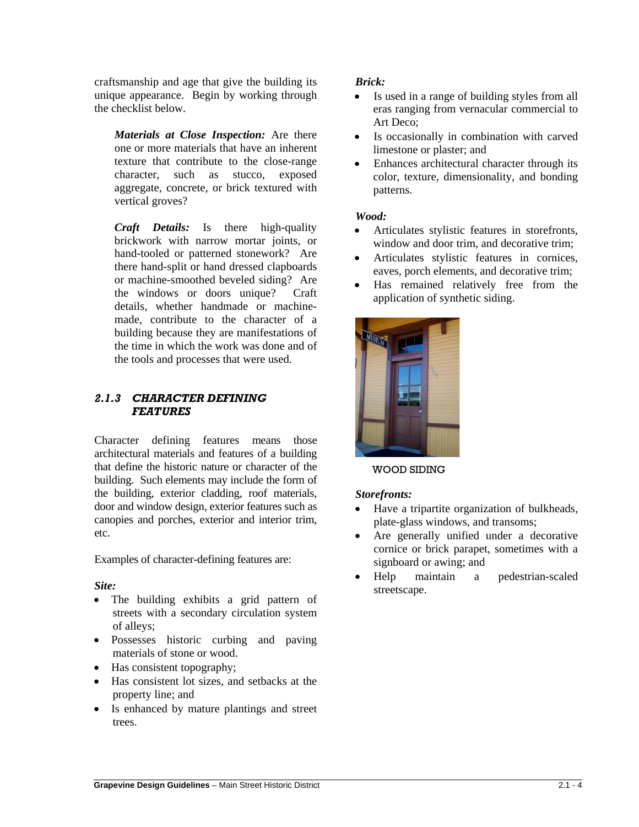craftsmanship and age that give the building its unique appearance. Begin by working through the checklist below.

*Materials at Close Inspection:* Are there one or more materials that have an inherent texture that contribute to the close-range character, such as stucco, exposed aggregate, concrete, or brick textured with vertical groves?

*Craft Details:* Is there high-quality brickwork with narrow mortar joints, or hand-tooled or patterned stonework? Are there hand-split or hand dressed clapboards or machine-smoothed beveled siding? Are the windows or doors unique? Craft details, whether handmade or machinemade, contribute to the character of a building because they are manifestations of the time in which the work was done and of the tools and processes that were used.

# *2.1.3 CHARACTER DEFINING FEATURES*

Character defining features means those architectural materials and features of a building that define the historic nature or character of the building. Such elements may include the form of the building, exterior cladding, roof materials, door and window design, exterior features such as canopies and porches, exterior and interior trim, etc.

Examples of character-defining features are:

# *Site:*

- The building exhibits a grid pattern of streets with a secondary circulation system of alleys;
- Possesses historic curbing and paving materials of stone or wood.
- Has consistent topography;
- Has consistent lot sizes, and setbacks at the property line; and
- Is enhanced by mature plantings and street trees.

## *Brick:*

- Is used in a range of building styles from all eras ranging from vernacular commercial to Art Deco;
- Is occasionally in combination with carved limestone or plaster; and
- Enhances architectural character through its color, texture, dimensionality, and bonding patterns.

# *Wood:*

- Articulates stylistic features in storefronts, window and door trim, and decorative trim;
- Articulates stylistic features in cornices, eaves, porch elements, and decorative trim;
- Has remained relatively free from the application of synthetic siding.



#### WOOD SIDING

#### *Storefronts:*

- Have a tripartite organization of bulkheads, plate-glass windows, and transoms;
- Are generally unified under a decorative cornice or brick parapet, sometimes with a signboard or awing; and
- Help maintain a pedestrian-scaled streetscape.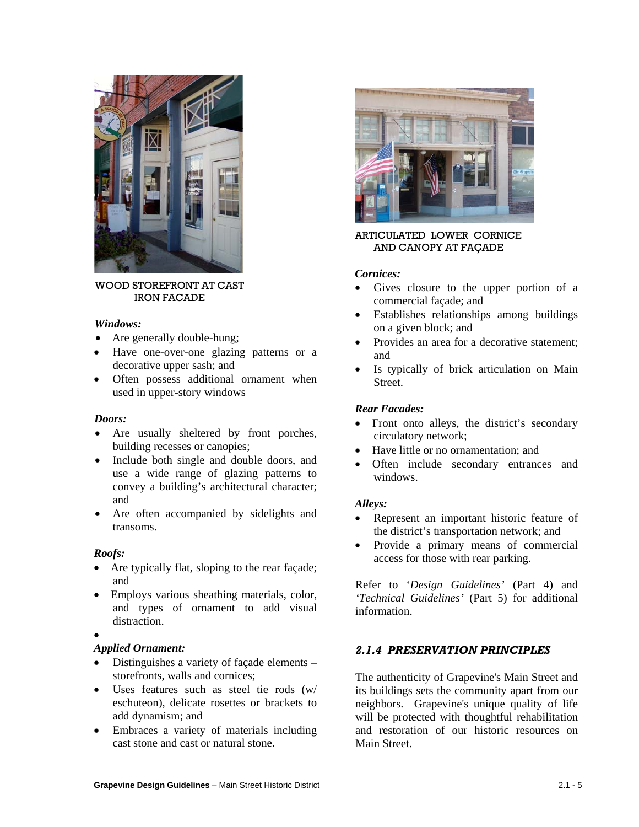

WOOD STOREFRONT AT CAST IRON FACADE

#### *Windows:*

- Are generally double-hung;
- Have one-over-one glazing patterns or a decorative upper sash; and
- Often possess additional ornament when used in upper-story windows

#### *Doors:*

- Are usually sheltered by front porches, building recesses or canopies;
- Include both single and double doors, and use a wide range of glazing patterns to convey a building's architectural character; and
- Are often accompanied by sidelights and transoms.

#### *Roofs:*

- Are typically flat, sloping to the rear facade; and
- Employs various sheathing materials, color, and types of ornament to add visual distraction.
- •

 $\overline{a}$ 

## *Applied Ornament:*

- Distinguishes a variety of façade elements storefronts, walls and cornices;
- Uses features such as steel tie rods (w/ eschuteon), delicate rosettes or brackets to add dynamism; and
- Embraces a variety of materials including cast stone and cast or natural stone.



## ARTICULATED LOWER CORNICE AND CANOPY AT FAÇADE

## *Cornices:*

- Gives closure to the upper portion of a commercial façade; and
- Establishes relationships among buildings on a given block; and
- Provides an area for a decorative statement; and
- Is typically of brick articulation on Main **Street**

## *Rear Facades:*

- Front onto alleys, the district's secondary circulatory network;
- Have little or no ornamentation; and
- Often include secondary entrances and windows.

#### *Alleys:*

- Represent an important historic feature of the district's transportation network; and
- Provide a primary means of commercial access for those with rear parking.

Refer to '*Design Guidelines'* (Part 4) and *'Technical Guidelines'* (Part 5) for additional information.

# *2.1.4 PRESERVATION PRINCIPLES*

The authenticity of Grapevine's Main Street and its buildings sets the community apart from our neighbors. Grapevine's unique quality of life will be protected with thoughtful rehabilitation and restoration of our historic resources on Main Street.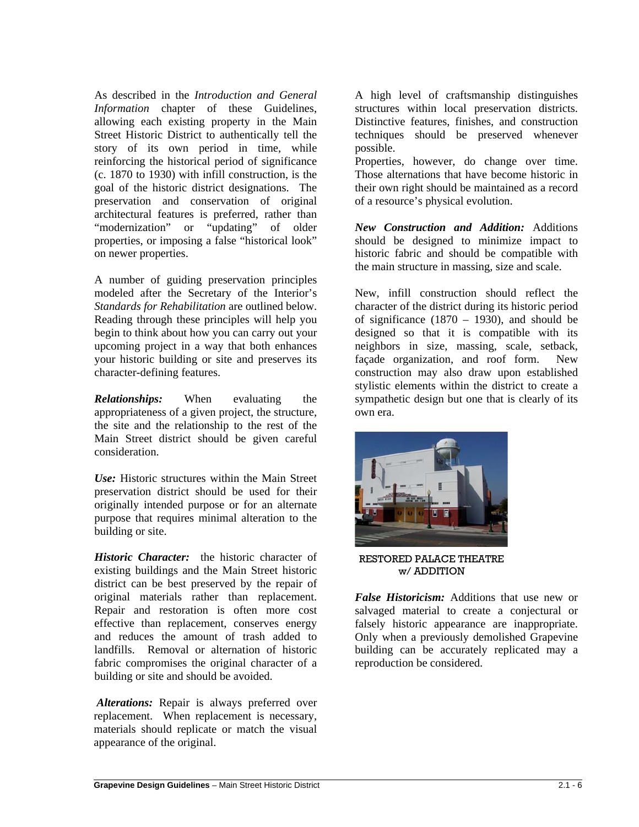As described in the *Introduction and General Information* chapter of these Guidelines, allowing each existing property in the Main Street Historic District to authentically tell the story of its own period in time, while reinforcing the historical period of significance (c. 1870 to 1930) with infill construction, is the goal of the historic district designations. The preservation and conservation of original architectural features is preferred, rather than "modernization" or "updating" of older properties, or imposing a false "historical look" on newer properties.

A number of guiding preservation principles modeled after the Secretary of the Interior's *Standards for Rehabilitation* are outlined below. Reading through these principles will help you begin to think about how you can carry out your upcoming project in a way that both enhances your historic building or site and preserves its character-defining features.

*Relationships:* When evaluating the appropriateness of a given project, the structure, the site and the relationship to the rest of the Main Street district should be given careful consideration.

*Use:* Historic structures within the Main Street preservation district should be used for their originally intended purpose or for an alternate purpose that requires minimal alteration to the building or site.

*Historic Character:* the historic character of existing buildings and the Main Street historic district can be best preserved by the repair of original materials rather than replacement. Repair and restoration is often more cost effective than replacement, conserves energy and reduces the amount of trash added to landfills. Removal or alternation of historic fabric compromises the original character of a building or site and should be avoided.

*Alterations:* Repair is always preferred over replacement. When replacement is necessary, materials should replicate or match the visual appearance of the original.

A high level of craftsmanship distinguishes structures within local preservation districts. Distinctive features, finishes, and construction techniques should be preserved whenever possible.

Properties, however, do change over time. Those alternations that have become historic in their own right should be maintained as a record of a resource's physical evolution.

*New Construction and Addition:* Additions should be designed to minimize impact to historic fabric and should be compatible with the main structure in massing, size and scale.

New, infill construction should reflect the character of the district during its historic period of significance (1870 – 1930), and should be designed so that it is compatible with its neighbors in size, massing, scale, setback, façade organization, and roof form. New construction may also draw upon established stylistic elements within the district to create a sympathetic design but one that is clearly of its own era.



RESTORED PALACE THEATRE w/ ADDITION

*False Historicism:* Additions that use new or salvaged material to create a conjectural or falsely historic appearance are inappropriate. Only when a previously demolished Grapevine building can be accurately replicated may a reproduction be considered.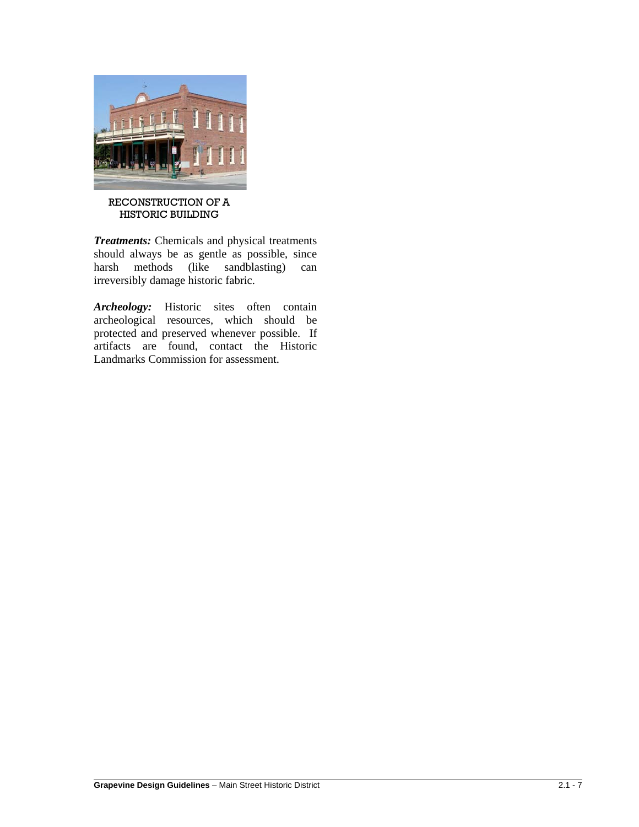

#### RECONSTRUCTION OF A HISTORIC BUILDING

*Treatments:* Chemicals and physical treatments should always be as gentle as possible, since harsh methods (like sandblasting) can irreversibly damage historic fabric.

Archeology: Historic sites often contain archeological resources, which should be protected and preserved whenever possible. If artifacts are found, contact the Historic Landmarks Commission for assessment.